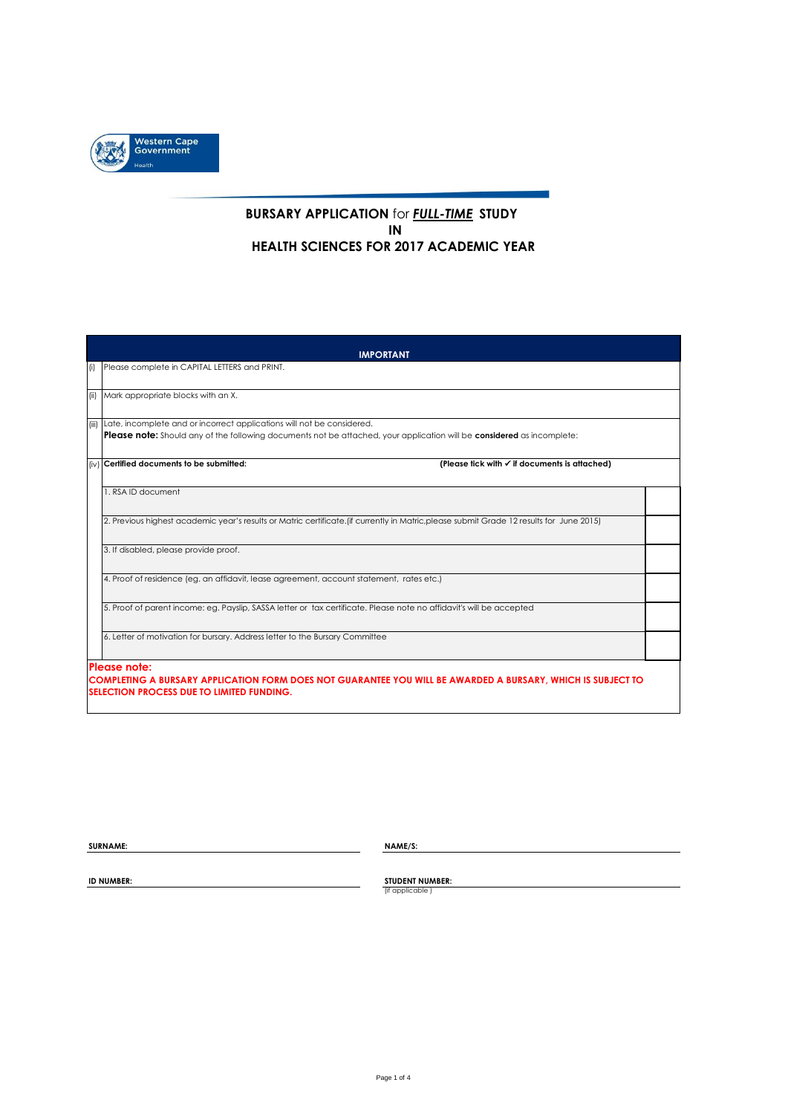

## **BURSARY APPLICATION** for *FULL-TIME* **STUDY IN HEALTH SCIENCES FOR 2017 ACADEMIC YEAR**

|                                                                                                                                           | <b>IMPORTANT</b>                                                                                                                                                                |  |  |  |  |  |  |  |  |
|-------------------------------------------------------------------------------------------------------------------------------------------|---------------------------------------------------------------------------------------------------------------------------------------------------------------------------------|--|--|--|--|--|--|--|--|
| (i)                                                                                                                                       | Please complete in CAPITAL LETTERS and PRINT.                                                                                                                                   |  |  |  |  |  |  |  |  |
| (ii)                                                                                                                                      | Mark appropriate blocks with an X.                                                                                                                                              |  |  |  |  |  |  |  |  |
| (iii)                                                                                                                                     | Late, incomplete and or incorrect applications will not be considered.                                                                                                          |  |  |  |  |  |  |  |  |
|                                                                                                                                           | Please note: Should any of the following documents not be attached, your application will be considered as incomplete:                                                          |  |  |  |  |  |  |  |  |
|                                                                                                                                           | (iv) Certified documents to be submitted:<br>(Please tick with √ if documents is attached)                                                                                      |  |  |  |  |  |  |  |  |
|                                                                                                                                           | 1. RSA ID document                                                                                                                                                              |  |  |  |  |  |  |  |  |
| 2. Previous highest academic year's results or Matric certificate. (if currently in Matric, please submit Grade 12 results for June 2015) |                                                                                                                                                                                 |  |  |  |  |  |  |  |  |
|                                                                                                                                           | 3. If disabled, please provide proof.                                                                                                                                           |  |  |  |  |  |  |  |  |
|                                                                                                                                           | 4. Proof of residence (eg. an affidavit, lease agreement, account statement, rates etc.)                                                                                        |  |  |  |  |  |  |  |  |
|                                                                                                                                           | 5. Proof of parent income: eg. Payslip, SASSA letter or tax certificate. Please note no affidavit's will be accepted                                                            |  |  |  |  |  |  |  |  |
|                                                                                                                                           | 6. Letter of motivation for bursary. Address letter to the Bursary Committee                                                                                                    |  |  |  |  |  |  |  |  |
|                                                                                                                                           | Please note:<br>COMPLETING A BURSARY APPLICATION FORM DOES NOT GUARANTEE YOU WILL BE AWARDED A BURSARY. WHICH IS SUBJECT TO<br><b>SELECTION PROCESS DUE TO LIMITED FUNDING.</b> |  |  |  |  |  |  |  |  |

**SURNAME: NAME/S: NAME/S:** 

**ID NUMBER: STUDENT NUMBER:**<br>
(if applicable )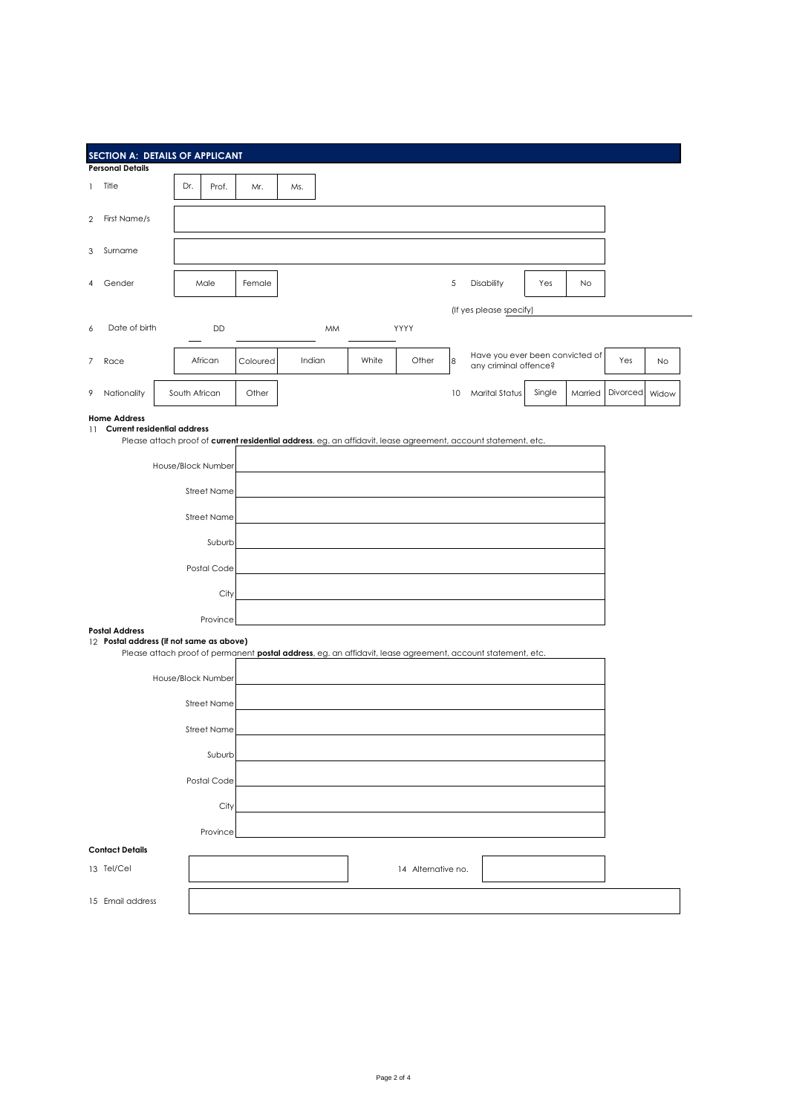| SECTION A: DETAILS OF APPLICANT<br><b>Personal Details</b>                                                                                                              |                              |          |                                                                                                             |       |                    |    |                                                          |        |         |          |           |
|-------------------------------------------------------------------------------------------------------------------------------------------------------------------------|------------------------------|----------|-------------------------------------------------------------------------------------------------------------|-------|--------------------|----|----------------------------------------------------------|--------|---------|----------|-----------|
| Title<br>$\mathbf{1}$                                                                                                                                                   | Dr.<br>Prof.                 | Mr.      | Ms.                                                                                                         |       |                    |    |                                                          |        |         |          |           |
| First Name/s<br>$\overline{2}$                                                                                                                                          |                              |          |                                                                                                             |       |                    |    |                                                          |        |         |          |           |
| Surname                                                                                                                                                                 |                              |          |                                                                                                             |       |                    |    |                                                          |        |         |          |           |
| 3                                                                                                                                                                       |                              |          |                                                                                                             |       |                    |    |                                                          |        |         |          |           |
| Gender                                                                                                                                                                  | Male                         | Female   |                                                                                                             |       |                    | 5  | Disability                                               | Yes    | No      |          |           |
|                                                                                                                                                                         |                              |          |                                                                                                             |       |                    |    | (If yes please specify)                                  |        |         |          |           |
| Date of birth<br>6                                                                                                                                                      | DD                           |          | MM                                                                                                          |       | YYYY               |    |                                                          |        |         |          |           |
| 7<br>Race                                                                                                                                                               | African                      | Coloured | Indian                                                                                                      | White | Other              | 8  | Have you ever been convicted of<br>any criminal offence? |        |         | Yes      | <b>No</b> |
| 9<br>Nationality                                                                                                                                                        | South African                | Other    |                                                                                                             |       |                    | 10 | <b>Marital Status</b>                                    | Single | Married | Divorced | Widow     |
| <b>Home Address</b><br>11 Current residential address<br>Please attach proof of current residential address, eg. an affidavit, lease agreement, account statement, etc. |                              |          |                                                                                                             |       |                    |    |                                                          |        |         |          |           |
|                                                                                                                                                                         | House/Block Number           |          |                                                                                                             |       |                    |    |                                                          |        |         |          |           |
|                                                                                                                                                                         |                              |          |                                                                                                             |       |                    |    |                                                          |        |         |          |           |
|                                                                                                                                                                         | <b>Street Name</b>           |          |                                                                                                             |       |                    |    |                                                          |        |         |          |           |
|                                                                                                                                                                         | <b>Street Name</b><br>Suburb |          |                                                                                                             |       |                    |    |                                                          |        |         |          |           |
|                                                                                                                                                                         |                              |          |                                                                                                             |       |                    |    |                                                          |        |         |          |           |
|                                                                                                                                                                         | Postal Code                  |          |                                                                                                             |       |                    |    |                                                          |        |         |          |           |
|                                                                                                                                                                         |                              |          |                                                                                                             |       |                    |    |                                                          |        |         |          |           |
| <b>Postal Address</b>                                                                                                                                                   | Province                     |          |                                                                                                             |       |                    |    |                                                          |        |         |          |           |
| 12 Postal address (if not same as above)                                                                                                                                |                              |          | Please attach proof of permanent postal address, eg. an affidavit, lease agreement, account statement, etc. |       |                    |    |                                                          |        |         |          |           |
|                                                                                                                                                                         | House/Block Number           |          |                                                                                                             |       |                    |    |                                                          |        |         |          |           |
|                                                                                                                                                                         | <b>Street Name</b>           |          |                                                                                                             |       |                    |    |                                                          |        |         |          |           |
|                                                                                                                                                                         | <b>Street Name</b>           |          |                                                                                                             |       |                    |    |                                                          |        |         |          |           |
|                                                                                                                                                                         | Suburb                       |          |                                                                                                             |       |                    |    |                                                          |        |         |          |           |
|                                                                                                                                                                         | Postal Code                  |          |                                                                                                             |       |                    |    |                                                          |        |         |          |           |
|                                                                                                                                                                         | City                         |          |                                                                                                             |       |                    |    |                                                          |        |         |          |           |
|                                                                                                                                                                         | Province                     |          |                                                                                                             |       |                    |    |                                                          |        |         |          |           |
| <b>Contact Details</b>                                                                                                                                                  |                              |          |                                                                                                             |       |                    |    |                                                          |        |         |          |           |
| 13 Tel/Cel                                                                                                                                                              |                              |          |                                                                                                             |       | 14 Alternative no. |    |                                                          |        |         |          |           |
| 15 Email address                                                                                                                                                        |                              |          |                                                                                                             |       |                    |    |                                                          |        |         |          |           |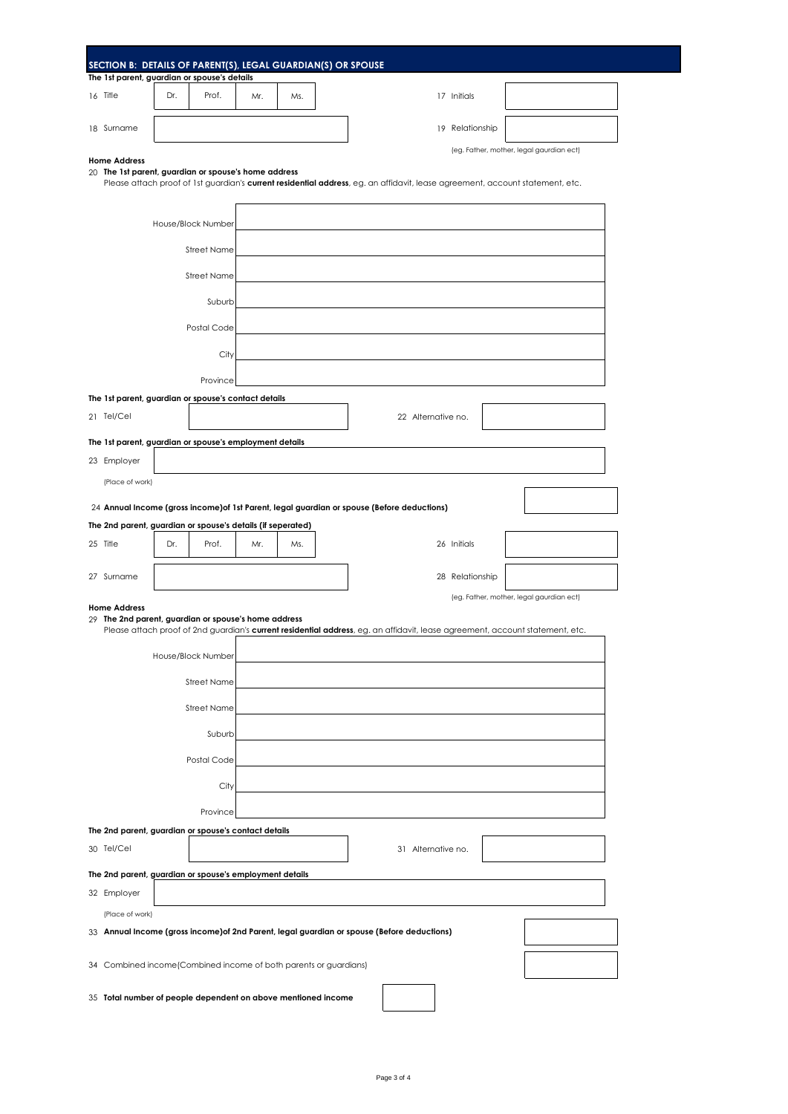| The 1st parent, guardian or spouse's details                                                                                                                                                                                                             |     |                    |     |     | SECTION B: DETAILS OF PARENT(S), LEGAL GUARDIAN(S) OR SPOUSE                                                                  |  |  |  |  |
|----------------------------------------------------------------------------------------------------------------------------------------------------------------------------------------------------------------------------------------------------------|-----|--------------------|-----|-----|-------------------------------------------------------------------------------------------------------------------------------|--|--|--|--|
| 16 Title                                                                                                                                                                                                                                                 | Dr. | Prof.              | Mr. | Ms. | 17 Initials                                                                                                                   |  |  |  |  |
|                                                                                                                                                                                                                                                          |     |                    |     |     |                                                                                                                               |  |  |  |  |
| 18 Surname                                                                                                                                                                                                                                               |     |                    |     |     | 19 Relationship                                                                                                               |  |  |  |  |
| (eg. Father, mother, legal gaurdian ect)<br><b>Home Address</b><br>20 The 1st parent, guardian or spouse's home address<br>Please attach proof of 1st guardian's current residential address, eg. an affidavit, lease agreement, account statement, etc. |     |                    |     |     |                                                                                                                               |  |  |  |  |
|                                                                                                                                                                                                                                                          |     |                    |     |     |                                                                                                                               |  |  |  |  |
|                                                                                                                                                                                                                                                          |     | House/Block Number |     |     |                                                                                                                               |  |  |  |  |
|                                                                                                                                                                                                                                                          |     | <b>Street Name</b> |     |     |                                                                                                                               |  |  |  |  |
|                                                                                                                                                                                                                                                          |     | <b>Street Name</b> |     |     |                                                                                                                               |  |  |  |  |
|                                                                                                                                                                                                                                                          |     | Suburb             |     |     |                                                                                                                               |  |  |  |  |
|                                                                                                                                                                                                                                                          |     | Postal Code        |     |     |                                                                                                                               |  |  |  |  |
|                                                                                                                                                                                                                                                          |     | City               |     |     |                                                                                                                               |  |  |  |  |
|                                                                                                                                                                                                                                                          |     | Province           |     |     |                                                                                                                               |  |  |  |  |
| The 1st parent, guardian or spouse's contact details                                                                                                                                                                                                     |     |                    |     |     |                                                                                                                               |  |  |  |  |
| 21 Tel/Cel                                                                                                                                                                                                                                               |     |                    |     |     | 22 Alternative no.                                                                                                            |  |  |  |  |
| The 1st parent, guardian or spouse's employment details                                                                                                                                                                                                  |     |                    |     |     |                                                                                                                               |  |  |  |  |
| 23 Employer<br>(Place of work)                                                                                                                                                                                                                           |     |                    |     |     |                                                                                                                               |  |  |  |  |
|                                                                                                                                                                                                                                                          |     |                    |     |     |                                                                                                                               |  |  |  |  |
| The 2nd parent, guardian or spouse's details (if seperated)                                                                                                                                                                                              |     |                    |     |     | 24 Annual Income (gross income) of 1st Parent, legal guardian or spouse (Before deductions)                                   |  |  |  |  |
| 25 Title                                                                                                                                                                                                                                                 | Dr. | Prof.              | Mr. | Ms. | 26 Initials                                                                                                                   |  |  |  |  |
| 27 Surname                                                                                                                                                                                                                                               |     |                    |     |     | 28 Relationship                                                                                                               |  |  |  |  |
|                                                                                                                                                                                                                                                          |     |                    |     |     | (eg. Father, mother, legal gaurdian ect)                                                                                      |  |  |  |  |
| <b>Home Address</b><br>29 The 2nd parent, guardian or spouse's home address                                                                                                                                                                              |     |                    |     |     |                                                                                                                               |  |  |  |  |
|                                                                                                                                                                                                                                                          |     |                    |     |     | Please attach proof of 2nd guardian's current residential address, eg. an affidavit, lease agreement, account statement, etc. |  |  |  |  |
|                                                                                                                                                                                                                                                          |     | House/Block Number |     |     |                                                                                                                               |  |  |  |  |
|                                                                                                                                                                                                                                                          |     | Street Name        |     |     |                                                                                                                               |  |  |  |  |
|                                                                                                                                                                                                                                                          |     | <b>Street Name</b> |     |     |                                                                                                                               |  |  |  |  |
|                                                                                                                                                                                                                                                          |     | Suburb             |     |     |                                                                                                                               |  |  |  |  |
|                                                                                                                                                                                                                                                          |     | Postal Code        |     |     |                                                                                                                               |  |  |  |  |
|                                                                                                                                                                                                                                                          |     | City               |     |     |                                                                                                                               |  |  |  |  |
|                                                                                                                                                                                                                                                          |     | Province           |     |     |                                                                                                                               |  |  |  |  |
| The 2nd parent, guardian or spouse's contact details                                                                                                                                                                                                     |     |                    |     |     |                                                                                                                               |  |  |  |  |
| 30 Tel/Cel                                                                                                                                                                                                                                               |     |                    |     |     | 31 Alternative no.                                                                                                            |  |  |  |  |
| The 2nd parent, guardian or spouse's employment details                                                                                                                                                                                                  |     |                    |     |     |                                                                                                                               |  |  |  |  |
| 32 Employer                                                                                                                                                                                                                                              |     |                    |     |     |                                                                                                                               |  |  |  |  |
| (Place of work)                                                                                                                                                                                                                                          |     |                    |     |     | 33 Annual Income (gross income) of 2nd Parent, legal guardian or spouse (Before deductions)                                   |  |  |  |  |
|                                                                                                                                                                                                                                                          |     |                    |     |     |                                                                                                                               |  |  |  |  |
| 34 Combined income (Combined income of both parents or guardians)                                                                                                                                                                                        |     |                    |     |     |                                                                                                                               |  |  |  |  |
| 35 Total number of people dependent on above mentioned income                                                                                                                                                                                            |     |                    |     |     |                                                                                                                               |  |  |  |  |